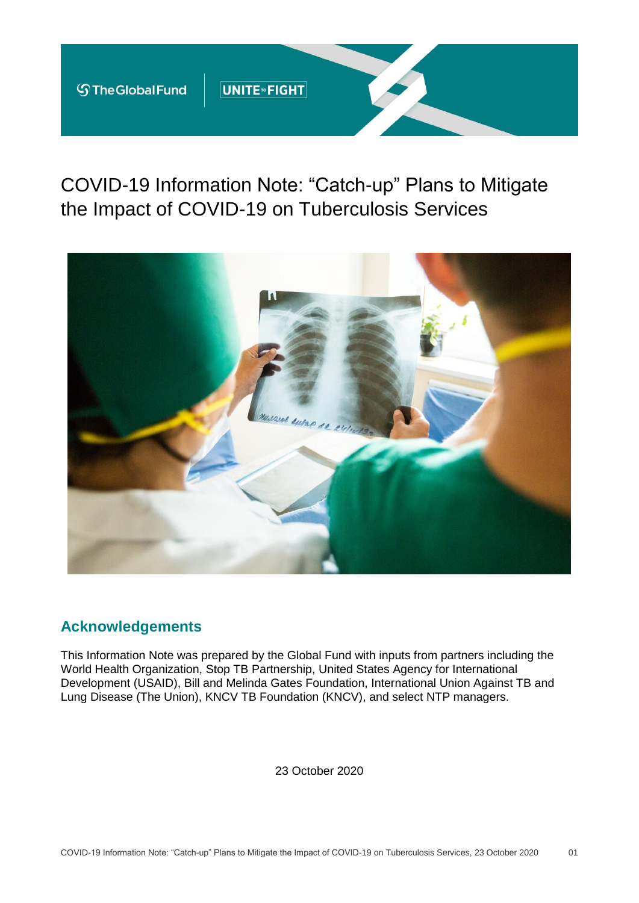

# COVID-19 Information Note: "Catch-up" Plans to Mitigate the Impact of COVID-19 on Tuberculosis Services



### **Acknowledgements**

This Information Note was prepared by the Global Fund with inputs from partners including the World Health Organization, Stop TB Partnership, United States Agency for International Development (USAID), Bill and Melinda Gates Foundation, International Union Against TB and Lung Disease (The Union), KNCV TB Foundation (KNCV), and select NTP managers.

23 October 2020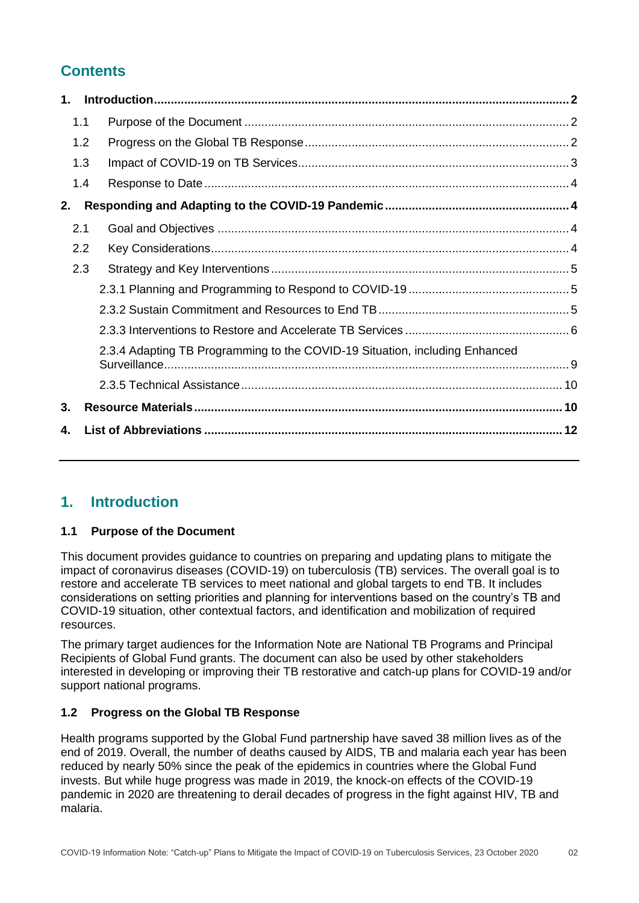## **Contents**

| 1. |     |                                                                             |  |
|----|-----|-----------------------------------------------------------------------------|--|
|    | 1.1 |                                                                             |  |
|    | 1.2 |                                                                             |  |
|    | 1.3 |                                                                             |  |
|    | 1.4 |                                                                             |  |
| 2. |     |                                                                             |  |
|    | 2.1 |                                                                             |  |
|    | 2.2 |                                                                             |  |
|    | 2.3 |                                                                             |  |
|    |     |                                                                             |  |
|    |     |                                                                             |  |
|    |     |                                                                             |  |
|    |     | 2.3.4 Adapting TB Programming to the COVID-19 Situation, including Enhanced |  |
|    |     |                                                                             |  |
| 3. |     |                                                                             |  |
| 4. |     |                                                                             |  |

## <span id="page-1-0"></span>**1. Introduction**

#### <span id="page-1-1"></span>**1.1 Purpose of the Document**

This document provides guidance to countries on preparing and updating plans to mitigate the impact of coronavirus diseases (COVID-19) on tuberculosis (TB) services. The overall goal is to restore and accelerate TB services to meet national and global targets to end TB. It includes considerations on setting priorities and planning for interventions based on the country's TB and COVID-19 situation, other contextual factors, and identification and mobilization of required resources.

The primary target audiences for the Information Note are National TB Programs and Principal Recipients of Global Fund grants. The document can also be used by other stakeholders interested in developing or improving their TB restorative and catch-up plans for COVID-19 and/or support national programs.

#### <span id="page-1-2"></span>**1.2 Progress on the Global TB Response**

Health programs supported by the Global Fund partnership have saved 38 million lives as of the end of 2019. Overall, the number of deaths caused by AIDS, TB and malaria each year has been reduced by nearly 50% since the peak of the epidemics in countries where the Global Fund invests. But while huge progress was made in 2019, the knock-on effects of the COVID-19 pandemic in 2020 are threatening to derail decades of progress in the fight against HIV, TB and malaria.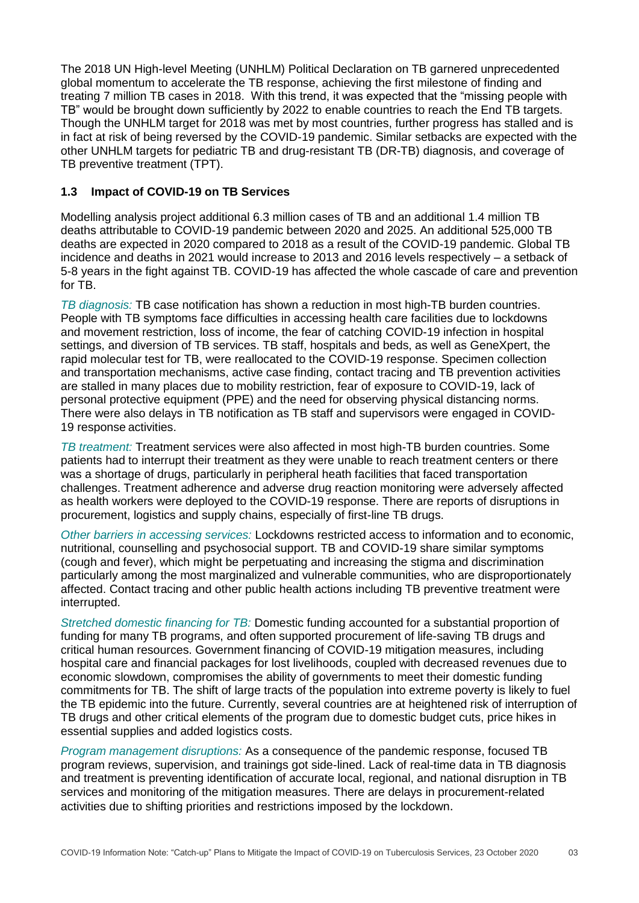The 2018 UN High-level Meeting (UNHLM) Political Declaration on TB garnered unprecedented global momentum to accelerate the TB response, achieving the first milestone of finding and treating 7 million TB cases in 2018. With this trend, it was expected that the "missing people with TB" would be brought down sufficiently by 2022 to enable countries to reach the End TB targets. Though the UNHLM target for 2018 was met by most countries, further progress has stalled and is in fact at risk of being reversed by the COVID-19 pandemic. Similar setbacks are expected with the other UNHLM targets for pediatric TB and drug-resistant TB (DR-TB) diagnosis, and coverage of TB preventive treatment (TPT).

#### <span id="page-2-0"></span>**1.3 Impact of COVID-19 on TB Services**

Modelling analysis project additional 6.3 million cases of TB and an additional 1.4 million TB deaths attributable to COVID-19 pandemic between 2020 and 2025. An additional 525,000 TB deaths are expected in 2020 compared to 2018 as a result of the COVID-19 pandemic. Global TB incidence and deaths in 2021 would increase to 2013 and 2016 levels respectively – a setback of 5-8 years in the fight against TB. COVID-19 has affected the whole cascade of care and prevention for TB.

*TB diagnosis:* TB case notification has shown a reduction in most high-TB burden countries. People with TB symptoms face difficulties in accessing health care facilities due to lockdowns and movement restriction, loss of income, the fear of catching COVID-19 infection in hospital settings, and diversion of TB services. TB staff, hospitals and beds, as well as GeneXpert, the rapid molecular test for TB, were reallocated to the COVID-19 response. Specimen collection and transportation mechanisms, active case finding, contact tracing and TB prevention activities are stalled in many places due to mobility restriction, fear of exposure to COVID-19, lack of personal protective equipment (PPE) and the need for observing physical distancing norms. There were also delays in TB notification as TB staff and supervisors were engaged in COVID-19 response activities.

*TB treatment:* Treatment services were also affected in most high-TB burden countries. Some patients had to interrupt their treatment as they were unable to reach treatment centers or there was a shortage of drugs, particularly in peripheral heath facilities that faced transportation challenges. Treatment adherence and adverse drug reaction monitoring were adversely affected as health workers were deployed to the COVID-19 response. There are reports of disruptions in procurement, logistics and supply chains, especially of first-line TB drugs.

*Other barriers in accessing services:* Lockdowns restricted access to information and to economic, nutritional, counselling and psychosocial support. TB and COVID-19 share similar symptoms (cough and fever), which might be perpetuating and increasing the stigma and discrimination particularly among the most marginalized and vulnerable communities, who are disproportionately affected. Contact tracing and other public health actions including TB preventive treatment were interrupted.

*Stretched domestic financing for TB:* Domestic funding accounted for a substantial proportion of funding for many TB programs, and often supported procurement of life-saving TB drugs and critical human resources. Government financing of COVID-19 mitigation measures, including hospital care and financial packages for lost livelihoods, coupled with decreased revenues due to economic slowdown, compromises the ability of governments to meet their domestic funding commitments for TB. The shift of large tracts of the population into extreme poverty is likely to fuel the TB epidemic into the future. Currently, several countries are at heightened risk of interruption of TB drugs and other critical elements of the program due to domestic budget cuts, price hikes in essential supplies and added logistics costs.

*Program management disruptions:* As a consequence of the pandemic response, focused TB program reviews, supervision, and trainings got side-lined. Lack of real-time data in TB diagnosis and treatment is preventing identification of accurate local, regional, and national disruption in TB services and monitoring of the mitigation measures. There are delays in procurement-related activities due to shifting priorities and restrictions imposed by the lockdown.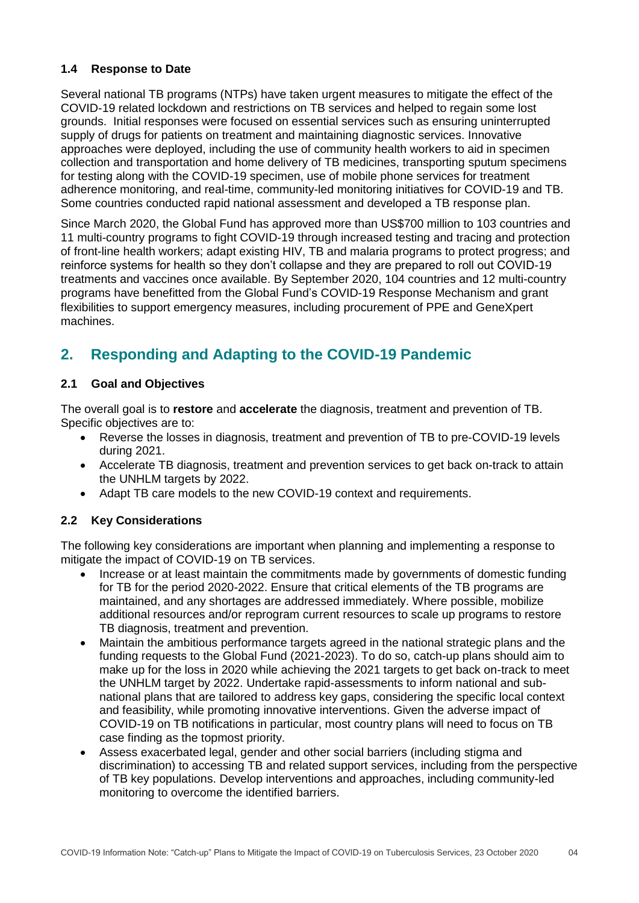#### <span id="page-3-0"></span>**1.4 Response to Date**

Several national TB programs (NTPs) have taken urgent measures to mitigate the effect of the COVID-19 related lockdown and restrictions on TB services and helped to regain some lost grounds. Initial responses were focused on essential services such as ensuring uninterrupted supply of drugs for patients on treatment and maintaining diagnostic services. Innovative approaches were deployed, including the use of community health workers to aid in specimen collection and transportation and home delivery of TB medicines, transporting sputum specimens for testing along with the COVID-19 specimen, use of mobile phone services for treatment adherence monitoring, and real-time, community-led monitoring initiatives for COVID-19 and TB. Some countries conducted rapid national assessment and developed a TB response plan.

Since March 2020, the Global Fund has approved more than US\$700 million to 103 countries and 11 multi-country programs to fight COVID-19 through increased testing and tracing and protection of front-line health workers; adapt existing HIV, TB and malaria programs to protect progress; and reinforce systems for health so they don't collapse and they are prepared to roll out COVID-19 treatments and vaccines once available. By September 2020, 104 countries and 12 multi-country programs have benefitted from the Global Fund's COVID-19 Response Mechanism and grant flexibilities to support emergency measures, including procurement of PPE and GeneXpert machines.

## <span id="page-3-1"></span>**2. Responding and Adapting to the COVID-19 Pandemic**

#### <span id="page-3-2"></span>**2.1 Goal and Objectives**

The overall goal is to **restore** and **accelerate** the diagnosis, treatment and prevention of TB. Specific objectives are to:

- Reverse the losses in diagnosis, treatment and prevention of TB to pre-COVID-19 levels during 2021.
- Accelerate TB diagnosis, treatment and prevention services to get back on-track to attain the UNHLM targets by 2022.
- Adapt TB care models to the new COVID-19 context and requirements.

#### <span id="page-3-3"></span>**2.2 Key Considerations**

The following key considerations are important when planning and implementing a response to mitigate the impact of COVID-19 on TB services.

- Increase or at least maintain the commitments made by governments of domestic funding for TB for the period 2020-2022. Ensure that critical elements of the TB programs are maintained, and any shortages are addressed immediately. Where possible, mobilize additional resources and/or reprogram current resources to scale up programs to restore TB diagnosis, treatment and prevention.
- Maintain the ambitious performance targets agreed in the national strategic plans and the funding requests to the Global Fund (2021-2023). To do so, catch-up plans should aim to make up for the loss in 2020 while achieving the 2021 targets to get back on-track to meet the UNHLM target by 2022. Undertake rapid-assessments to inform national and subnational plans that are tailored to address key gaps, considering the specific local context and feasibility, while promoting innovative interventions. Given the adverse impact of COVID-19 on TB notifications in particular, most country plans will need to focus on TB case finding as the topmost priority.
- Assess exacerbated legal, gender and other social barriers (including stigma and discrimination) to accessing TB and related support services, including from the perspective of TB key populations. Develop interventions and approaches, including community-led monitoring to overcome the identified barriers.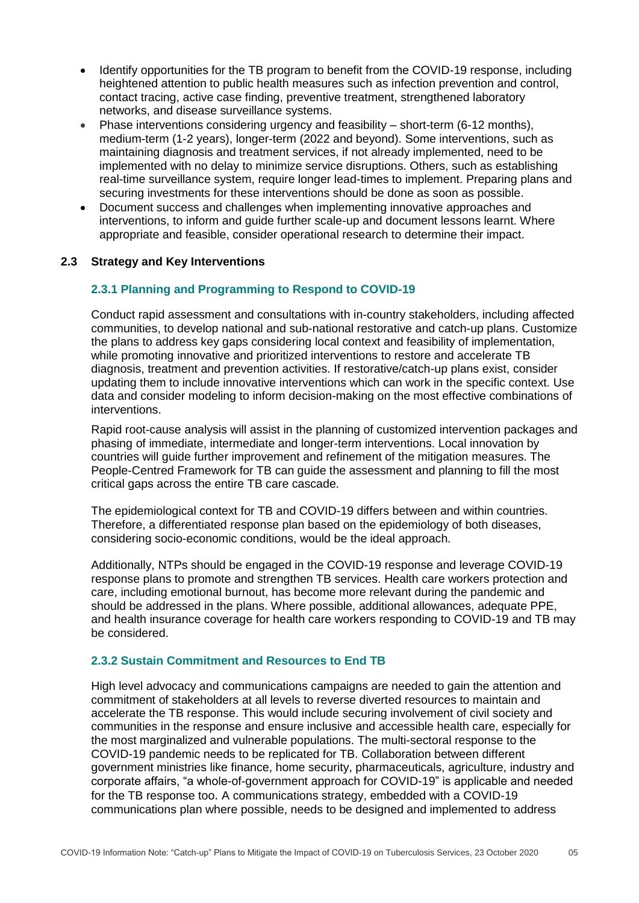- Identify opportunities for the TB program to benefit from the COVID-19 response, including heightened attention to public health measures such as infection prevention and control, contact tracing, active case finding, preventive treatment, strengthened laboratory networks, and disease surveillance systems.
- Phase interventions considering urgency and feasibility short-term (6-12 months), medium-term (1-2 years), longer-term (2022 and beyond). Some interventions, such as maintaining diagnosis and treatment services, if not already implemented, need to be implemented with no delay to minimize service disruptions. Others, such as establishing real-time surveillance system, require longer lead-times to implement. Preparing plans and securing investments for these interventions should be done as soon as possible.
- Document success and challenges when implementing innovative approaches and interventions, to inform and guide further scale-up and document lessons learnt. Where appropriate and feasible, consider operational research to determine their impact.

#### <span id="page-4-1"></span><span id="page-4-0"></span>**2.3 Strategy and Key Interventions**

#### **2.3.1 Planning and Programming to Respond to COVID-19**

Conduct rapid assessment and consultations with in-country stakeholders, including affected communities, to develop national and sub-national restorative and catch-up plans. Customize the plans to address key gaps considering local context and feasibility of implementation, while promoting innovative and prioritized interventions to restore and accelerate TB diagnosis, treatment and prevention activities. If restorative/catch-up plans exist, consider updating them to include innovative interventions which can work in the specific context. Use data and consider modeling to inform decision-making on the most effective combinations of interventions.

Rapid root-cause analysis will assist in the planning of customized intervention packages and phasing of immediate, intermediate and longer-term interventions. Local innovation by countries will guide further improvement and refinement of the mitigation measures. The People-Centred Framework for TB can guide the assessment and planning to fill the most critical gaps across the entire TB care cascade.

The epidemiological context for TB and COVID-19 differs between and within countries. Therefore, a differentiated response plan based on the epidemiology of both diseases, considering socio-economic conditions, would be the ideal approach.

Additionally, NTPs should be engaged in the COVID-19 response and leverage COVID-19 response plans to promote and strengthen TB services. Health care workers protection and care, including emotional burnout, has become more relevant during the pandemic and should be addressed in the plans. Where possible, additional allowances, adequate PPE, and health insurance coverage for health care workers responding to COVID-19 and TB may be considered.

#### <span id="page-4-2"></span>**2.3.2 Sustain Commitment and Resources to End TB**

High level advocacy and communications campaigns are needed to gain the attention and commitment of stakeholders at all levels to reverse diverted resources to maintain and accelerate the TB response. This would include securing involvement of civil society and communities in the response and ensure inclusive and accessible health care, especially for the most marginalized and vulnerable populations. The multi-sectoral response to the COVID-19 pandemic needs to be replicated for TB. Collaboration between different government ministries like finance, home security, pharmaceuticals, agriculture, industry and corporate affairs, "a whole-of-government approach for COVID-19" is applicable and needed for the TB response too. A communications strategy, embedded with a COVID-19 communications plan where possible, needs to be designed and implemented to address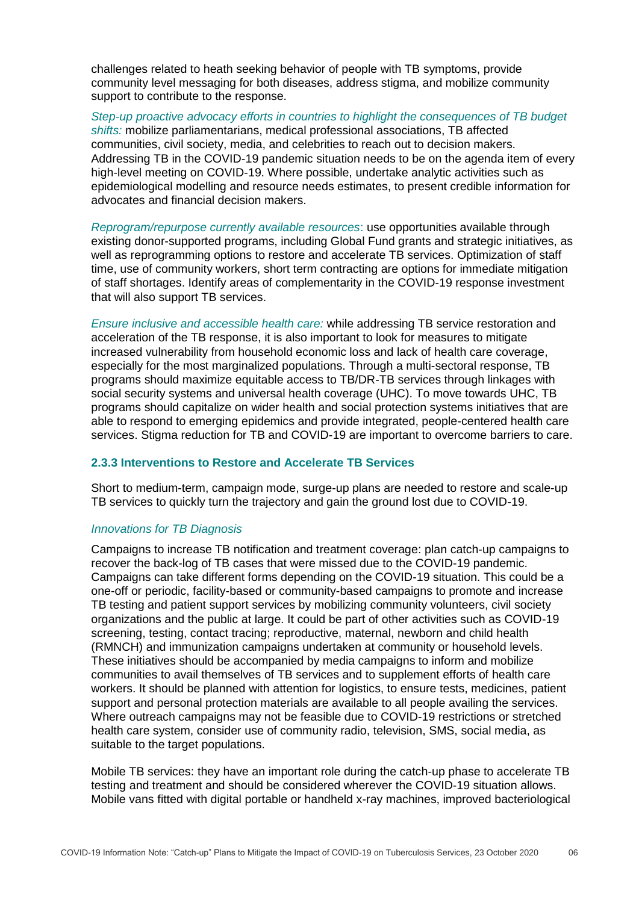challenges related to heath seeking behavior of people with TB symptoms, provide community level messaging for both diseases, address stigma, and mobilize community support to contribute to the response.

*Step-up proactive advocacy efforts in countries to highlight the consequences of TB budget shifts:* mobilize parliamentarians, medical professional associations, TB affected communities, civil society, media, and celebrities to reach out to decision makers. Addressing TB in the COVID-19 pandemic situation needs to be on the agenda item of every high-level meeting on COVID-19. Where possible, undertake analytic activities such as epidemiological modelling and resource needs estimates, to present credible information for advocates and financial decision makers.

*Reprogram/repurpose currently available resources*: use opportunities available through existing donor-supported programs, including Global Fund grants and strategic initiatives, as well as reprogramming options to restore and accelerate TB services. Optimization of staff time, use of community workers, short term contracting are options for immediate mitigation of staff shortages. Identify areas of complementarity in the COVID-19 response investment that will also support TB services.

*Ensure inclusive and accessible health care:* while addressing TB service restoration and acceleration of the TB response, it is also important to look for measures to mitigate increased vulnerability from household economic loss and lack of health care coverage, especially for the most marginalized populations. Through a multi-sectoral response, TB programs should maximize equitable access to TB/DR-TB services through linkages with social security systems and universal health coverage (UHC). To move towards UHC, TB programs should capitalize on wider health and social protection systems initiatives that are able to respond to emerging epidemics and provide integrated, people-centered health care services. Stigma reduction for TB and COVID-19 are important to overcome barriers to care.

#### <span id="page-5-0"></span>**2.3.3 Interventions to Restore and Accelerate TB Services**

Short to medium-term, campaign mode, surge-up plans are needed to restore and scale-up TB services to quickly turn the trajectory and gain the ground lost due to COVID-19.

#### *Innovations for TB Diagnosis*

Campaigns to increase TB notification and treatment coverage: plan catch-up campaigns to recover the back-log of TB cases that were missed due to the COVID-19 pandemic. Campaigns can take different forms depending on the COVID-19 situation. This could be a one-off or periodic, facility-based or community-based campaigns to promote and increase TB testing and patient support services by mobilizing community volunteers, civil society organizations and the public at large. It could be part of other activities such as COVID-19 screening, testing, contact tracing; reproductive, maternal, newborn and child health (RMNCH) and immunization campaigns undertaken at community or household levels. These initiatives should be accompanied by media campaigns to inform and mobilize communities to avail themselves of TB services and to supplement efforts of health care workers. It should be planned with attention for logistics, to ensure tests, medicines, patient support and personal protection materials are available to all people availing the services. Where outreach campaigns may not be feasible due to COVID-19 restrictions or stretched health care system, consider use of community radio, television, SMS, social media, as suitable to the target populations.

Mobile TB services: they have an important role during the catch-up phase to accelerate TB testing and treatment and should be considered wherever the COVID-19 situation allows. Mobile vans fitted with digital portable or handheld x-ray machines, improved bacteriological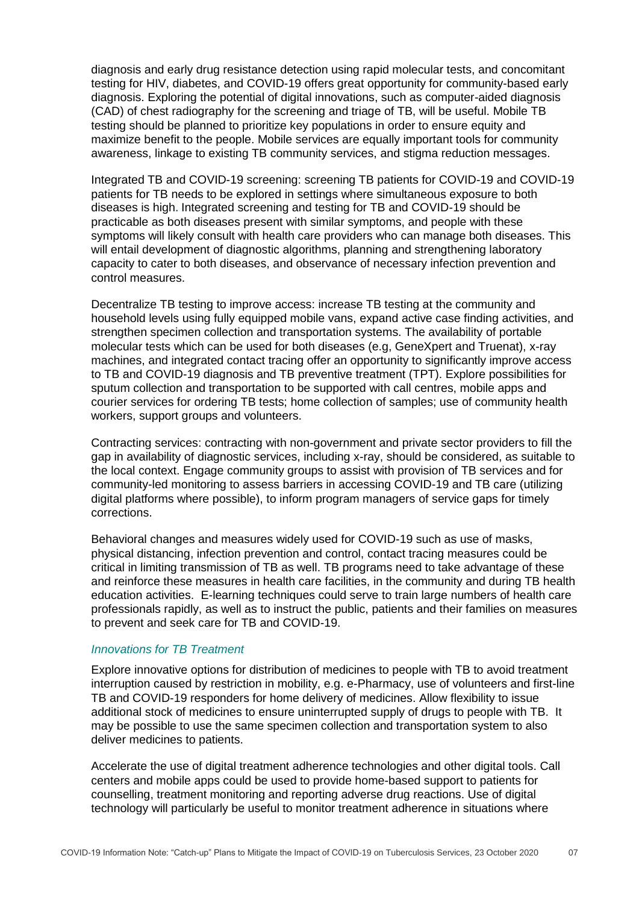diagnosis and early drug resistance detection using rapid molecular tests, and concomitant testing for HIV, diabetes, and COVID-19 offers great opportunity for community-based early diagnosis. Exploring the potential of digital innovations, such as computer-aided diagnosis (CAD) of chest radiography for the screening and triage of TB, will be useful. Mobile TB testing should be planned to prioritize key populations in order to ensure equity and maximize benefit to the people. Mobile services are equally important tools for community awareness, linkage to existing TB community services, and stigma reduction messages.

Integrated TB and COVID-19 screening: screening TB patients for COVID-19 and COVID-19 patients for TB needs to be explored in settings where simultaneous exposure to both diseases is high. Integrated screening and testing for TB and COVID-19 should be practicable as both diseases present with similar symptoms, and people with these symptoms will likely consult with health care providers who can manage both diseases. This will entail development of diagnostic algorithms, planning and strengthening laboratory capacity to cater to both diseases, and observance of necessary infection prevention and control measures.

Decentralize TB testing to improve access: increase TB testing at the community and household levels using fully equipped mobile vans, expand active case finding activities, and strengthen specimen collection and transportation systems. The availability of portable molecular tests which can be used for both diseases (e.g, GeneXpert and Truenat), x-ray machines, and integrated contact tracing offer an opportunity to significantly improve access to TB and COVID-19 diagnosis and TB preventive treatment (TPT). Explore possibilities for sputum collection and transportation to be supported with call centres, mobile apps and courier services for ordering TB tests; home collection of samples; use of community health workers, support groups and volunteers.

Contracting services: contracting with non-government and private sector providers to fill the gap in availability of diagnostic services, including x-ray, should be considered, as suitable to the local context. Engage community groups to assist with provision of TB services and for community-led monitoring to assess barriers in accessing COVID-19 and TB care (utilizing digital platforms where possible), to inform program managers of service gaps for timely corrections.

Behavioral changes and measures widely used for COVID-19 such as use of masks, physical distancing, infection prevention and control, contact tracing measures could be critical in limiting transmission of TB as well. TB programs need to take advantage of these and reinforce these measures in health care facilities, in the community and during TB health education activities. E-learning techniques could serve to train large numbers of health care professionals rapidly, as well as to instruct the public, patients and their families on measures to prevent and seek care for TB and COVID-19.

#### *Innovations for TB Treatment*

Explore innovative options for distribution of medicines to people with TB to avoid treatment interruption caused by restriction in mobility, e.g. e-Pharmacy, use of volunteers and first-line TB and COVID-19 responders for home delivery of medicines. Allow flexibility to issue additional stock of medicines to ensure uninterrupted supply of drugs to people with TB. It may be possible to use the same specimen collection and transportation system to also deliver medicines to patients.

Accelerate the use of digital treatment adherence technologies and other digital tools. Call centers and mobile apps could be used to provide home-based support to patients for counselling, treatment monitoring and reporting adverse drug reactions. Use of digital technology will particularly be useful to monitor treatment adherence in situations where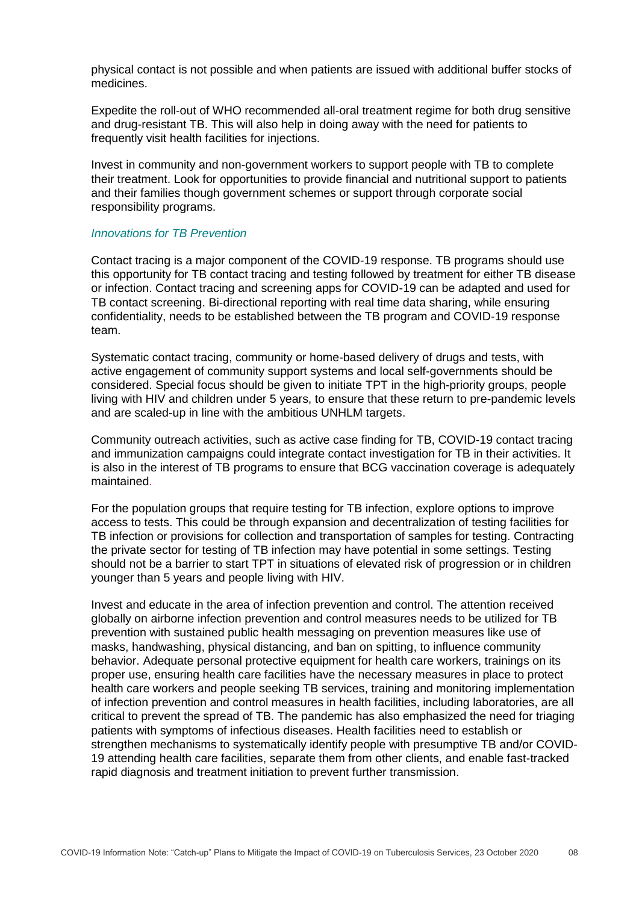physical contact is not possible and when patients are issued with additional buffer stocks of medicines.

Expedite the roll-out of WHO recommended all-oral treatment regime for both drug sensitive and drug-resistant TB. This will also help in doing away with the need for patients to frequently visit health facilities for injections.

Invest in community and non-government workers to support people with TB to complete their treatment. Look for opportunities to provide financial and nutritional support to patients and their families though government schemes or support through corporate social responsibility programs.

#### *Innovations for TB Prevention*

Contact tracing is a major component of the COVID-19 response. TB programs should use this opportunity for TB contact tracing and testing followed by treatment for either TB disease or infection. Contact tracing and screening apps for COVID-19 can be adapted and used for TB contact screening. Bi-directional reporting with real time data sharing, while ensuring confidentiality, needs to be established between the TB program and COVID-19 response team.

Systematic contact tracing, community or home-based delivery of drugs and tests, with active engagement of community support systems and local self-governments should be considered. Special focus should be given to initiate TPT in the high-priority groups, people living with HIV and children under 5 years, to ensure that these return to pre-pandemic levels and are scaled-up in line with the ambitious UNHLM targets.

Community outreach activities, such as active case finding for TB, COVID-19 contact tracing and immunization campaigns could integrate contact investigation for TB in their activities. It is also in the interest of TB programs to ensure that BCG vaccination coverage is adequately maintained.

For the population groups that require testing for TB infection, explore options to improve access to tests. This could be through expansion and decentralization of testing facilities for TB infection or provisions for collection and transportation of samples for testing. Contracting the private sector for testing of TB infection may have potential in some settings. Testing should not be a barrier to start TPT in situations of elevated risk of progression or in children younger than 5 years and people living with HIV.

Invest and educate in the area of infection prevention and control. The attention received globally on airborne infection prevention and control measures needs to be utilized for TB prevention with sustained public health messaging on prevention measures like use of masks, handwashing, physical distancing, and ban on spitting, to influence community behavior. Adequate personal protective equipment for health care workers, trainings on its proper use, ensuring health care facilities have the necessary measures in place to protect health care workers and people seeking TB services, training and monitoring implementation of infection prevention and control measures in health facilities, including laboratories, are all critical to prevent the spread of TB. The pandemic has also emphasized the need for triaging patients with symptoms of infectious diseases. Health facilities need to establish or strengthen mechanisms to systematically identify people with presumptive TB and/or COVID-19 attending health care facilities, separate them from other clients, and enable fast-tracked rapid diagnosis and treatment initiation to prevent further transmission.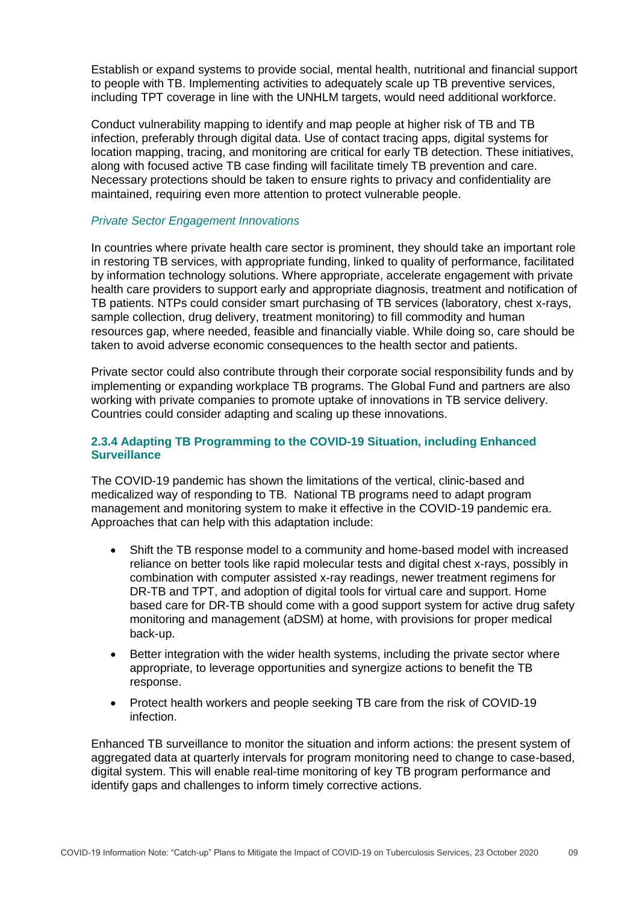Establish or expand systems to provide social, mental health, nutritional and financial support to people with TB. Implementing activities to adequately scale up TB preventive services, including TPT coverage in line with the UNHLM targets, would need additional workforce.

Conduct vulnerability mapping to identify and map people at higher risk of TB and TB infection, preferably through digital data. Use of contact tracing apps, digital systems for location mapping, tracing, and monitoring are critical for early TB detection. These initiatives, along with focused active TB case finding will facilitate timely TB prevention and care. Necessary protections should be taken to ensure rights to privacy and confidentiality are maintained, requiring even more attention to protect vulnerable people.

#### *Private Sector Engagement Innovations*

In countries where private health care sector is prominent, they should take an important role in restoring TB services, with appropriate funding, linked to quality of performance, facilitated by information technology solutions. Where appropriate, accelerate engagement with private health care providers to support early and appropriate diagnosis, treatment and notification of TB patients. NTPs could consider smart purchasing of TB services (laboratory, chest x-rays, sample collection, drug delivery, treatment monitoring) to fill commodity and human resources gap, where needed, feasible and financially viable. While doing so, care should be taken to avoid adverse economic consequences to the health sector and patients.

Private sector could also contribute through their corporate social responsibility funds and by implementing or expanding workplace TB programs. The Global Fund and partners are also working with private companies to promote uptake of innovations in TB service delivery. Countries could consider adapting and scaling up these innovations.

#### <span id="page-8-0"></span>**2.3.4 Adapting TB Programming to the COVID-19 Situation, including Enhanced Surveillance**

The COVID-19 pandemic has shown the limitations of the vertical, clinic-based and medicalized way of responding to TB. National TB programs need to adapt program management and monitoring system to make it effective in the COVID-19 pandemic era. Approaches that can help with this adaptation include:

- Shift the TB response model to a community and home-based model with increased reliance on better tools like rapid molecular tests and digital chest x-rays, possibly in combination with computer assisted x-ray readings, newer treatment regimens for DR-TB and TPT, and adoption of digital tools for virtual care and support. Home based care for DR-TB should come with a good support system for active drug safety monitoring and management (aDSM) at home, with provisions for proper medical back-up.
- Better integration with the wider health systems, including the private sector where appropriate, to leverage opportunities and synergize actions to benefit the TB response.
- Protect health workers and people seeking TB care from the risk of COVID-19 infection.

Enhanced TB surveillance to monitor the situation and inform actions: the present system of aggregated data at quarterly intervals for program monitoring need to change to case-based, digital system. This will enable real-time monitoring of key TB program performance and identify gaps and challenges to inform timely corrective actions.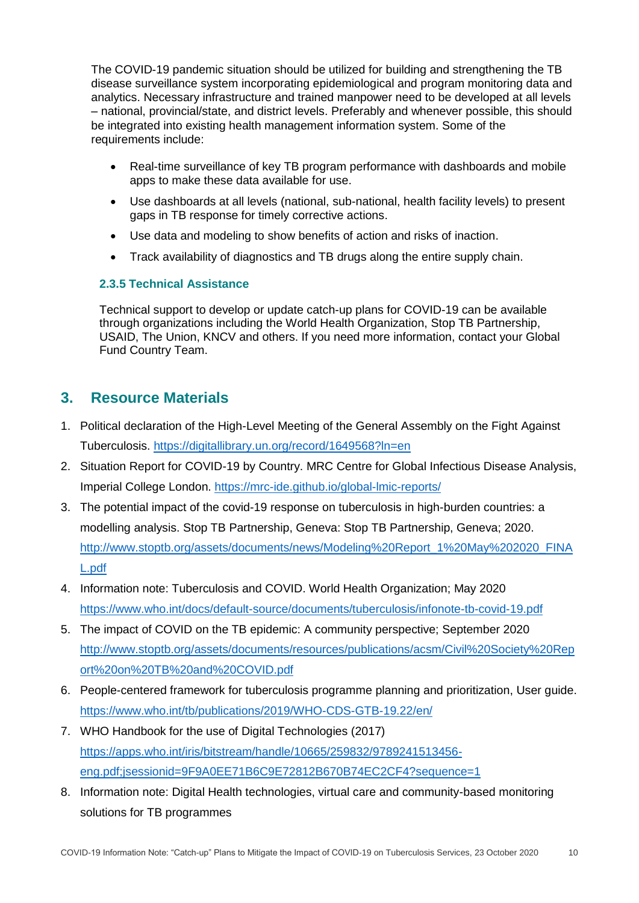The COVID-19 pandemic situation should be utilized for building and strengthening the TB disease surveillance system incorporating epidemiological and program monitoring data and analytics. Necessary infrastructure and trained manpower need to be developed at all levels – national, provincial/state, and district levels. Preferably and whenever possible, this should be integrated into existing health management information system. Some of the requirements include:

- Real-time surveillance of key TB program performance with dashboards and mobile apps to make these data available for use.
- Use dashboards at all levels (national, sub-national, health facility levels) to present gaps in TB response for timely corrective actions.
- Use data and modeling to show benefits of action and risks of inaction.
- Track availability of diagnostics and TB drugs along the entire supply chain.

#### <span id="page-9-0"></span>**2.3.5 Technical Assistance**

Technical support to develop or update catch-up plans for COVID-19 can be available through organizations including the World Health Organization, Stop TB Partnership, USAID, The Union, KNCV and others. If you need more information, contact your Global Fund Country Team.

## <span id="page-9-1"></span>**3. Resource Materials**

- 1. Political declaration of the High-Level Meeting of the General Assembly on the Fight Against Tuberculosis.<https://digitallibrary.un.org/record/1649568?ln=en>
- 2. Situation Report for COVID-19 by Country. MRC Centre for Global Infectious Disease Analysis, Imperial College London.<https://mrc-ide.github.io/global-lmic-reports/>
- 3. The potential impact of the covid-19 response on tuberculosis in high-burden countries: a modelling analysis. Stop TB Partnership, Geneva: Stop TB Partnership, Geneva; 2020. [http://www.stoptb.org/assets/documents/news/Modeling%20Report\\_1%20May%202020\\_FINA](http://www.stoptb.org/assets/documents/news/Modeling%20Report_1%20May%202020_FINAL.pdf) [L.pdf](http://www.stoptb.org/assets/documents/news/Modeling%20Report_1%20May%202020_FINAL.pdf)
- 4. Information note: Tuberculosis and COVID. World Health Organization; May 2020 <https://www.who.int/docs/default-source/documents/tuberculosis/infonote-tb-covid-19.pdf>
- 5. The impact of COVID on the TB epidemic: A community perspective; September 2020 [http://www.stoptb.org/assets/documents/resources/publications/acsm/Civil%20Society%20Rep](http://www.stoptb.org/assets/documents/resources/publications/acsm/Civil%20Society%20Report%20on%20TB%20and%20COVID.pdf) [ort%20on%20TB%20and%20COVID.pdf](http://www.stoptb.org/assets/documents/resources/publications/acsm/Civil%20Society%20Report%20on%20TB%20and%20COVID.pdf)
- 6. People-centered framework for tuberculosis programme planning and prioritization, User guide. <https://www.who.int/tb/publications/2019/WHO-CDS-GTB-19.22/en/>
- 7. WHO Handbook for the use of Digital Technologies (2017) [https://apps.who.int/iris/bitstream/handle/10665/259832/9789241513456](https://apps.who.int/iris/bitstream/handle/10665/259832/9789241513456-eng.pdf;jsessionid=9F9A0EE71B6C9E72812B670B74EC2CF4?sequence=1) [eng.pdf;jsessionid=9F9A0EE71B6C9E72812B670B74EC2CF4?sequence=1](https://apps.who.int/iris/bitstream/handle/10665/259832/9789241513456-eng.pdf;jsessionid=9F9A0EE71B6C9E72812B670B74EC2CF4?sequence=1)
- 8. Information note: Digital Health technologies, virtual care and community-based monitoring solutions for TB programmes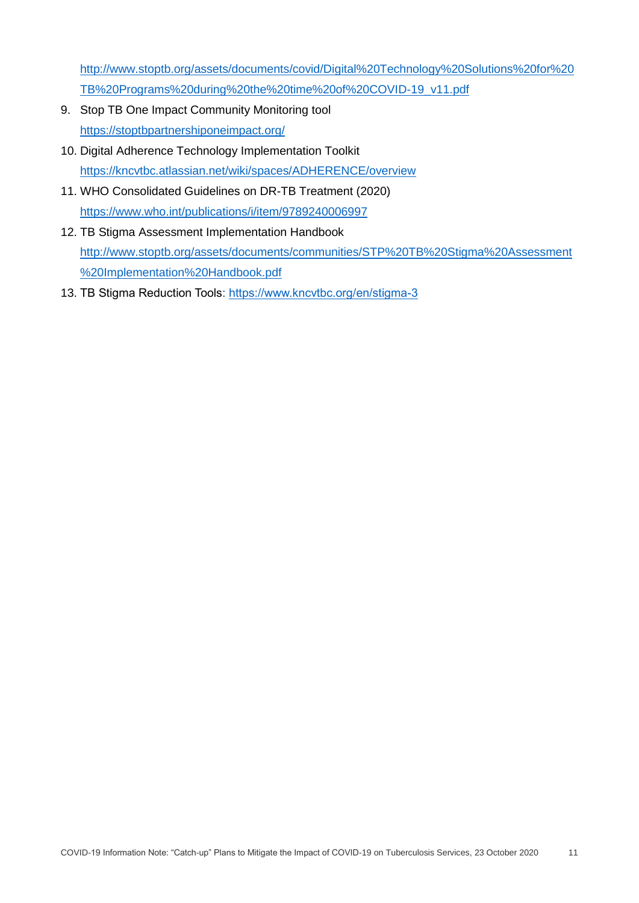[http://www.stoptb.org/assets/documents/covid/Digital%20Technology%20Solutions%20for%20](http://www.stoptb.org/assets/documents/covid/Digital%20Technology%20Solutions%20for%20TB%20Programs%20during%20the%20time%20of%20COVID-19_v11.pdf) [TB%20Programs%20during%20the%20time%20of%20COVID-19\\_v11.pdf](http://www.stoptb.org/assets/documents/covid/Digital%20Technology%20Solutions%20for%20TB%20Programs%20during%20the%20time%20of%20COVID-19_v11.pdf)

- 9. Stop TB One Impact Community Monitoring tool <https://stoptbpartnershiponeimpact.org/>
- 10. Digital Adherence Technology Implementation Toolkit <https://kncvtbc.atlassian.net/wiki/spaces/ADHERENCE/overview>
- 11. WHO Consolidated Guidelines on DR-TB Treatment (2020) <https://www.who.int/publications/i/item/9789240006997>
- 12. TB Stigma Assessment Implementation Handbook [http://www.stoptb.org/assets/documents/communities/STP%20TB%20Stigma%20Assessment](http://www.stoptb.org/assets/documents/communities/STP%20TB%20Stigma%20Assessment%20Implementation%20Handbook.pdf) [%20Implementation%20Handbook.pdf](http://www.stoptb.org/assets/documents/communities/STP%20TB%20Stigma%20Assessment%20Implementation%20Handbook.pdf)
- 13. TB Stigma Reduction Tools:<https://www.kncvtbc.org/en/stigma-3>